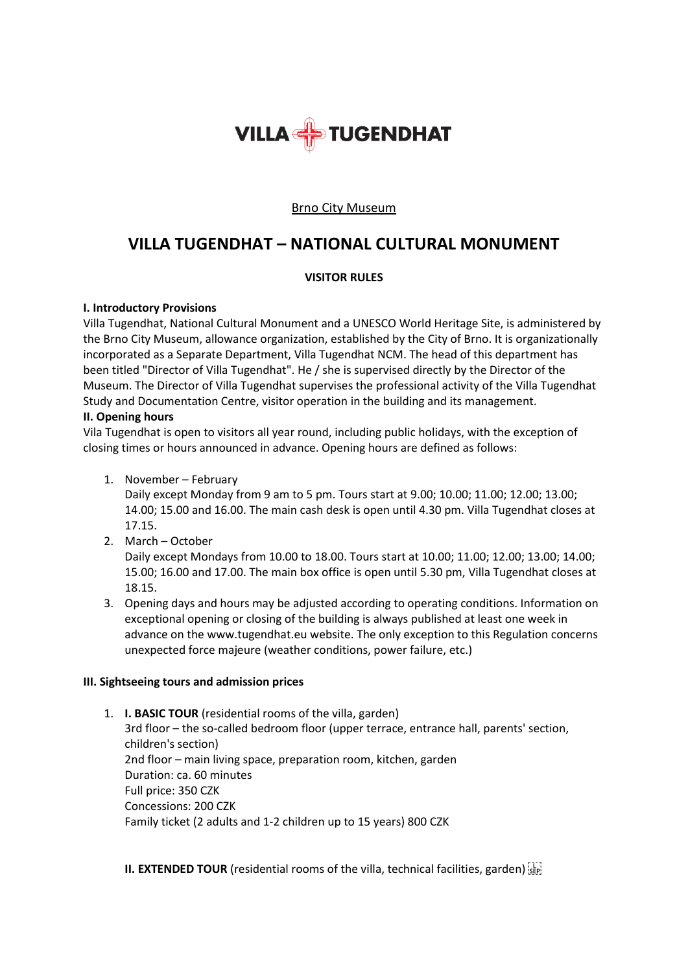

## Brno City Museum

# **VILLA TUGENDHAT – NATIONAL CULTURAL MONUMENT**

## **VISITOR RULES**

#### **I. Introductory Provisions**

Villa Tugendhat, National Cultural Monument and a UNESCO World Heritage Site, is administered by the Brno City Museum, allowance organization, established by the City of Brno. It is organizationally incorporated as a Separate Department, Villa Tugendhat NCM. The head of this department has been titled "Director of Villa Tugendhat". He / she is supervised directly by the Director of the Museum. The Director of Villa Tugendhat supervises the professional activity of the Villa Tugendhat Study and Documentation Centre, visitor operation in the building and its management.

#### **II. Opening hours**

Vila Tugendhat is open to visitors all year round, including public holidays, with the exception of closing times or hours announced in advance. Opening hours are defined as follows:

1. November – February

Daily except Monday from 9 am to 5 pm. Tours start at 9.00; 10.00; 11.00; 12.00; 13.00; 14.00; 15.00 and 16.00. The main cash desk is open until 4.30 pm. Villa Tugendhat closes at 17.15.

2. March – October

Daily except Mondays from 10.00 to 18.00. Tours start at 10.00; 11.00; 12.00; 13.00; 14.00; 15.00; 16.00 and 17.00. The main box office is open until 5.30 pm, Villa Tugendhat closes at 18.15.

3. Opening days and hours may be adjusted according to operating conditions. Information on exceptional opening or closing of the building is always published at least one week in advance on the www.tugendhat.eu website. The only exception to this Regulation concerns unexpected force majeure (weather conditions, power failure, etc.)

# **III. Sightseeing tours and admission prices**

1. **I. BASIC TOUR** (residential rooms of the villa, garden) 3rd floor – the so-called bedroom floor (upper terrace, entrance hall, parents' section, children's section) 2nd floor – main living space, preparation room, kitchen, garden Duration: ca. 60 minutes Full price: 350 CZK Concessions: 200 CZK Family ticket (2 adults and 1-2 children up to 15 years) 800 CZK

**II. EXTENDED TOUR** (residential rooms of the villa, technical facilities, garden) [17]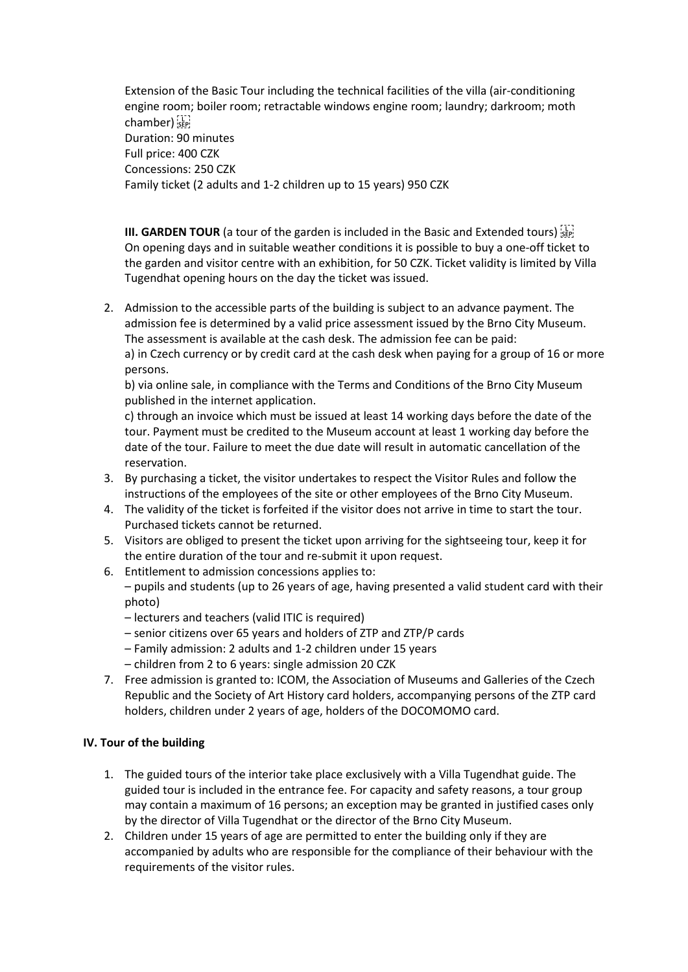Extension of the Basic Tour including the technical facilities of the villa (air-conditioning engine room; boiler room; retractable windows engine room; laundry; darkroom; moth chamber) Duration: 90 minutes Full price: 400 CZK Concessions: 250 CZK Family ticket (2 adults and 1-2 children up to 15 years) 950 CZK

**III. GARDEN TOUR** (a tour of the garden is included in the Basic and Extended tours) [17] On opening days and in suitable weather conditions it is possible to buy a one-off ticket to the garden and visitor centre with an exhibition, for 50 CZK. Ticket validity is limited by Villa Tugendhat opening hours on the day the ticket was issued.

2. Admission to the accessible parts of the building is subject to an advance payment. The admission fee is determined by a valid price assessment issued by the Brno City Museum. The assessment is available at the cash desk. The admission fee can be paid: a) in Czech currency or by credit card at the cash desk when paying for a group of 16 or more persons.

b) via online sale, in compliance with the Terms and Conditions of the Brno City Museum published in the internet application.

c) through an invoice which must be issued at least 14 working days before the date of the tour. Payment must be credited to the Museum account at least 1 working day before the date of the tour. Failure to meet the due date will result in automatic cancellation of the reservation.

- 3. By purchasing a ticket, the visitor undertakes to respect the Visitor Rules and follow the instructions of the employees of the site or other employees of the Brno City Museum.
- 4. The validity of the ticket is forfeited if the visitor does not arrive in time to start the tour. Purchased tickets cannot be returned.
- 5. Visitors are obliged to present the ticket upon arriving for the sightseeing tour, keep it for the entire duration of the tour and re-submit it upon request.
- 6. Entitlement to admission concessions applies to:

– pupils and students (up to 26 years of age, having presented a valid student card with their photo)

- lecturers and teachers (valid ITIC is required)
- senior citizens over 65 years and holders of ZTP and ZTP/P cards
- Family admission: 2 adults and 1-2 children under 15 years
- children from 2 to 6 years: single admission 20 CZK
- 7. Free admission is granted to: ICOM, the Association of Museums and Galleries of the Czech Republic and the Society of Art History card holders, accompanying persons of the ZTP card holders, children under 2 years of age, holders of the DOCOMOMO card.

# **IV. Tour of the building**

- 1. The guided tours of the interior take place exclusively with a Villa Tugendhat guide. The guided tour is included in the entrance fee. For capacity and safety reasons, a tour group may contain a maximum of 16 persons; an exception may be granted in justified cases only by the director of Villa Tugendhat or the director of the Brno City Museum.
- 2. Children under 15 years of age are permitted to enter the building only if they are accompanied by adults who are responsible for the compliance of their behaviour with the requirements of the visitor rules.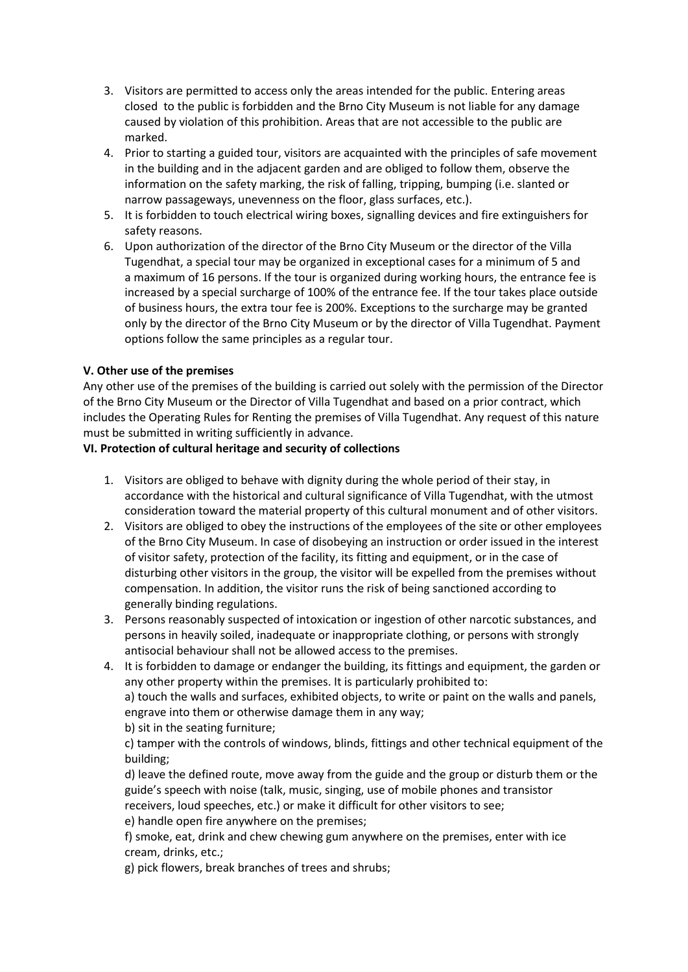- 3. Visitors are permitted to access only the areas intended for the public. Entering areas closed to the public is forbidden and the Brno City Museum is not liable for any damage caused by violation of this prohibition. Areas that are not accessible to the public are marked.
- 4. Prior to starting a guided tour, visitors are acquainted with the principles of safe movement in the building and in the adjacent garden and are obliged to follow them, observe the information on the safety marking, the risk of falling, tripping, bumping (i.e. slanted or narrow passageways, unevenness on the floor, glass surfaces, etc.).
- 5. It is forbidden to touch electrical wiring boxes, signalling devices and fire extinguishers for safety reasons.
- 6. Upon authorization of the director of the Brno City Museum or the director of the Villa Tugendhat, a special tour may be organized in exceptional cases for a minimum of 5 and a maximum of 16 persons. If the tour is organized during working hours, the entrance fee is increased by a special surcharge of 100% of the entrance fee. If the tour takes place outside of business hours, the extra tour fee is 200%. Exceptions to the surcharge may be granted only by the director of the Brno City Museum or by the director of Villa Tugendhat. Payment options follow the same principles as a regular tour.

## **V. Other use of the premises**

Any other use of the premises of the building is carried out solely with the permission of the Director of the Brno City Museum or the Director of Villa Tugendhat and based on a prior contract, which includes the Operating Rules for Renting the premises of Villa Tugendhat. Any request of this nature must be submitted in writing sufficiently in advance.

#### **VI. Protection of cultural heritage and security of collections**

- 1. Visitors are obliged to behave with dignity during the whole period of their stay, in accordance with the historical and cultural significance of Villa Tugendhat, with the utmost consideration toward the material property of this cultural monument and of other visitors.
- 2. Visitors are obliged to obey the instructions of the employees of the site or other employees of the Brno City Museum. In case of disobeying an instruction or order issued in the interest of visitor safety, protection of the facility, its fitting and equipment, or in the case of disturbing other visitors in the group, the visitor will be expelled from the premises without compensation. In addition, the visitor runs the risk of being sanctioned according to generally binding regulations.
- 3. Persons reasonably suspected of intoxication or ingestion of other narcotic substances, and persons in heavily soiled, inadequate or inappropriate clothing, or persons with strongly antisocial behaviour shall not be allowed access to the premises.
- 4. It is forbidden to damage or endanger the building, its fittings and equipment, the garden or any other property within the premises. It is particularly prohibited to:

a) touch the walls and surfaces, exhibited objects, to write or paint on the walls and panels, engrave into them or otherwise damage them in any way;

b) sit in the seating furniture;

c) tamper with the controls of windows, blinds, fittings and other technical equipment of the building;

d) leave the defined route, move away from the guide and the group or disturb them or the guide's speech with noise (talk, music, singing, use of mobile phones and transistor receivers, loud speeches, etc.) or make it difficult for other visitors to see;

e) handle open fire anywhere on the premises;

f) smoke, eat, drink and chew chewing gum anywhere on the premises, enter with ice cream, drinks, etc.;

g) pick flowers, break branches of trees and shrubs;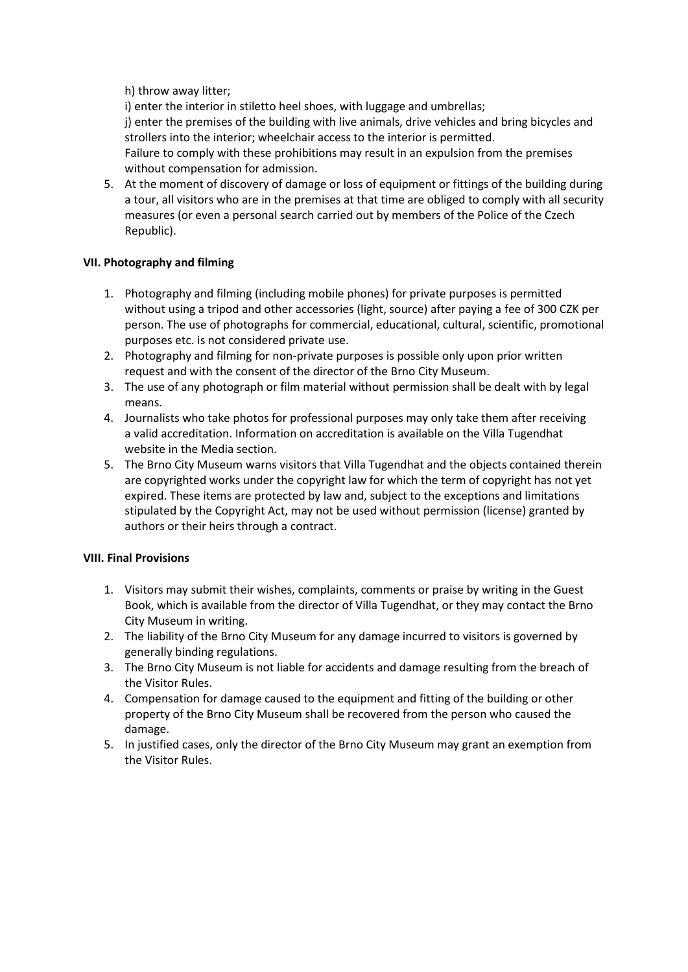h) throw away litter;

i) enter the interior in stiletto heel shoes, with luggage and umbrellas; j) enter the premises of the building with live animals, drive vehicles and bring bicycles and strollers into the interior; wheelchair access to the interior is permitted. Failure to comply with these prohibitions may result in an expulsion from the premises without compensation for admission.

5. At the moment of discovery of damage or loss of equipment or fittings of the building during a tour, all visitors who are in the premises at that time are obliged to comply with all security measures (or even a personal search carried out by members of the Police of the Czech Republic).

# **VII. Photography and filming**

- 1. Photography and filming (including mobile phones) for private purposes is permitted without using a tripod and other accessories (light, source) after paying a fee of 300 CZK per person. The use of photographs for commercial, educational, cultural, scientific, promotional purposes etc. is not considered private use.
- 2. Photography and filming for non-private purposes is possible only upon prior written request and with the consent of the director of the Brno City Museum.
- 3. The use of any photograph or film material without permission shall be dealt with by legal means.
- 4. Journalists who take photos for professional purposes may only take them after receiving a valid accreditation. Information on accreditation is available on the Villa Tugendhat website in the Media section.
- 5. The Brno City Museum warns visitors that Villa Tugendhat and the objects contained therein are copyrighted works under the copyright law for which the term of copyright has not yet expired. These items are protected by law and, subject to the exceptions and limitations stipulated by the Copyright Act, may not be used without permission (license) granted by authors or their heirs through a contract.

# **VIII. Final Provisions**

- 1. Visitors may submit their wishes, complaints, comments or praise by writing in the Guest Book, which is available from the director of Villa Tugendhat, or they may contact the Brno City Museum in writing.
- 2. The liability of the Brno City Museum for any damage incurred to visitors is governed by generally binding regulations.
- 3. The Brno City Museum is not liable for accidents and damage resulting from the breach of the Visitor Rules.
- 4. Compensation for damage caused to the equipment and fitting of the building or other property of the Brno City Museum shall be recovered from the person who caused the damage.
- 5. In justified cases, only the director of the Brno City Museum may grant an exemption from the Visitor Rules.